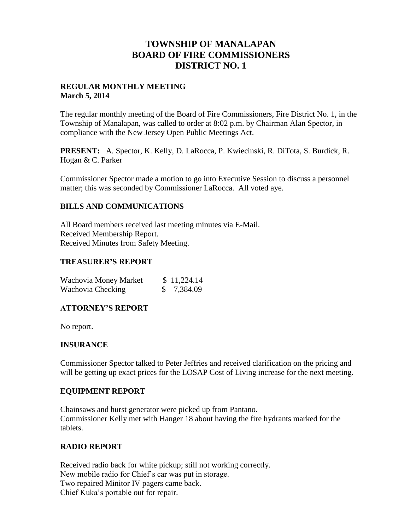# **TOWNSHIP OF MANALAPAN BOARD OF FIRE COMMISSIONERS DISTRICT NO. 1**

### **REGULAR MONTHLY MEETING March 5, 2014**

The regular monthly meeting of the Board of Fire Commissioners, Fire District No. 1, in the Township of Manalapan, was called to order at 8:02 p.m. by Chairman Alan Spector, in compliance with the New Jersey Open Public Meetings Act.

**PRESENT:** A. Spector, K. Kelly, D. LaRocca, P. Kwiecinski, R. DiTota, S. Burdick, R. Hogan & C. Parker

Commissioner Spector made a motion to go into Executive Session to discuss a personnel matter; this was seconded by Commissioner LaRocca. All voted aye.

## **BILLS AND COMMUNICATIONS**

All Board members received last meeting minutes via E-Mail. Received Membership Report. Received Minutes from Safety Meeting.

### **TREASURER'S REPORT**

| Wachovia Money Market | \$11,224.14 |
|-----------------------|-------------|
| Wachovia Checking     | \$7,384.09  |

#### **ATTORNEY'S REPORT**

No report.

#### **INSURANCE**

Commissioner Spector talked to Peter Jeffries and received clarification on the pricing and will be getting up exact prices for the LOSAP Cost of Living increase for the next meeting.

#### **EQUIPMENT REPORT**

Chainsaws and hurst generator were picked up from Pantano. Commissioner Kelly met with Hanger 18 about having the fire hydrants marked for the tablets.

## **RADIO REPORT**

Received radio back for white pickup; still not working correctly. New mobile radio for Chief's car was put in storage. Two repaired Minitor IV pagers came back. Chief Kuka's portable out for repair.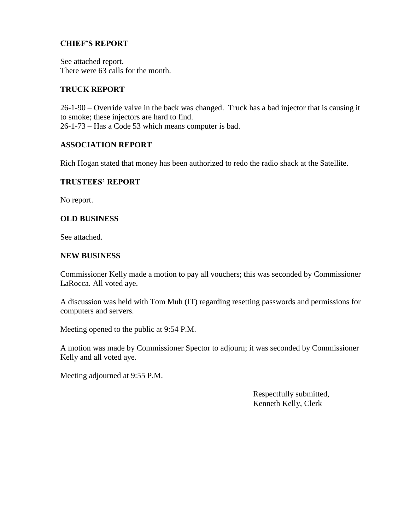# **CHIEF'S REPORT**

See attached report. There were 63 calls for the month.

## **TRUCK REPORT**

26-1-90 – Override valve in the back was changed. Truck has a bad injector that is causing it to smoke; these injectors are hard to find. 26-1-73 – Has a Code 53 which means computer is bad.

# **ASSOCIATION REPORT**

Rich Hogan stated that money has been authorized to redo the radio shack at the Satellite.

### **TRUSTEES' REPORT**

No report.

## **OLD BUSINESS**

See attached.

### **NEW BUSINESS**

Commissioner Kelly made a motion to pay all vouchers; this was seconded by Commissioner LaRocca. All voted aye.

A discussion was held with Tom Muh (IT) regarding resetting passwords and permissions for computers and servers.

Meeting opened to the public at 9:54 P.M.

A motion was made by Commissioner Spector to adjourn; it was seconded by Commissioner Kelly and all voted aye.

Meeting adjourned at 9:55 P.M.

 Respectfully submitted, Kenneth Kelly, Clerk